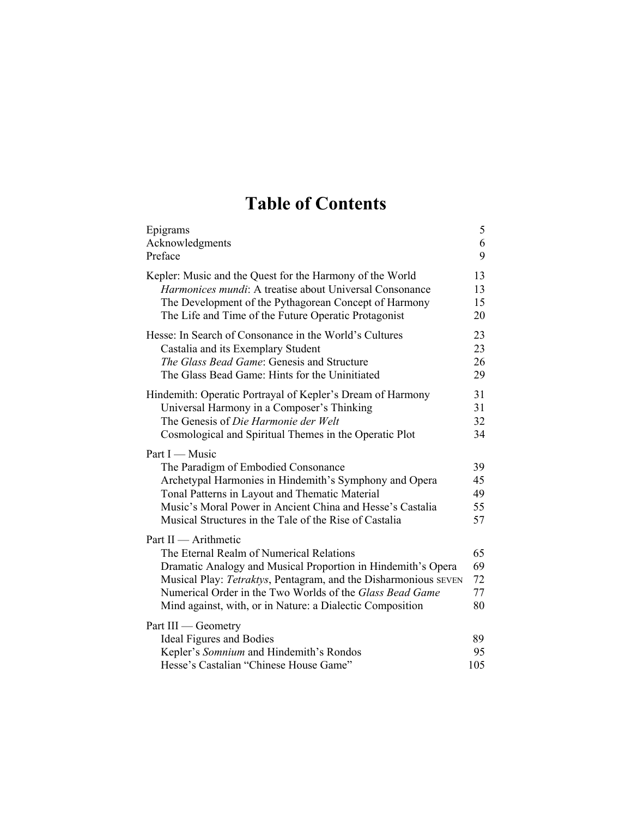## **Table of Contents**

| Epigrams                                                                                                                                                                                                                                                                                                                     | 5                          |
|------------------------------------------------------------------------------------------------------------------------------------------------------------------------------------------------------------------------------------------------------------------------------------------------------------------------------|----------------------------|
| Acknowledgments                                                                                                                                                                                                                                                                                                              | 6                          |
| Preface                                                                                                                                                                                                                                                                                                                      | 9                          |
| Kepler: Music and the Quest for the Harmony of the World                                                                                                                                                                                                                                                                     | 13                         |
| Harmonices mundi: A treatise about Universal Consonance                                                                                                                                                                                                                                                                      | 13                         |
| The Development of the Pythagorean Concept of Harmony                                                                                                                                                                                                                                                                        | 15                         |
| The Life and Time of the Future Operatic Protagonist                                                                                                                                                                                                                                                                         | 20                         |
| Hesse: In Search of Consonance in the World's Cultures                                                                                                                                                                                                                                                                       | 23                         |
| Castalia and its Exemplary Student                                                                                                                                                                                                                                                                                           | 23                         |
| The Glass Bead Game: Genesis and Structure                                                                                                                                                                                                                                                                                   | 26                         |
| The Glass Bead Game: Hints for the Uninitiated                                                                                                                                                                                                                                                                               | 29                         |
| Hindemith: Operatic Portrayal of Kepler's Dream of Harmony                                                                                                                                                                                                                                                                   | 31                         |
| Universal Harmony in a Composer's Thinking                                                                                                                                                                                                                                                                                   | 31                         |
| The Genesis of Die Harmonie der Welt                                                                                                                                                                                                                                                                                         | 32                         |
| Cosmological and Spiritual Themes in the Operatic Plot                                                                                                                                                                                                                                                                       | 34                         |
| Part I - Music<br>The Paradigm of Embodied Consonance<br>Archetypal Harmonies in Hindemith's Symphony and Opera<br>Tonal Patterns in Layout and Thematic Material<br>Music's Moral Power in Ancient China and Hesse's Castalia<br>Musical Structures in the Tale of the Rise of Castalia                                     | 39<br>45<br>49<br>55<br>57 |
| Part II — Arithmetic<br>The Eternal Realm of Numerical Relations<br>Dramatic Analogy and Musical Proportion in Hindemith's Opera<br>Musical Play: Tetraktys, Pentagram, and the Disharmonious SEVEN<br>Numerical Order in the Two Worlds of the Glass Bead Game<br>Mind against, with, or in Nature: a Dialectic Composition | 65<br>69<br>72<br>77<br>80 |
| Part III - Geometry<br><b>Ideal Figures and Bodies</b><br>Kepler's Somnium and Hindemith's Rondos                                                                                                                                                                                                                            | 89<br>95                   |
| Hesse's Castalian "Chinese House Game"                                                                                                                                                                                                                                                                                       | 105                        |